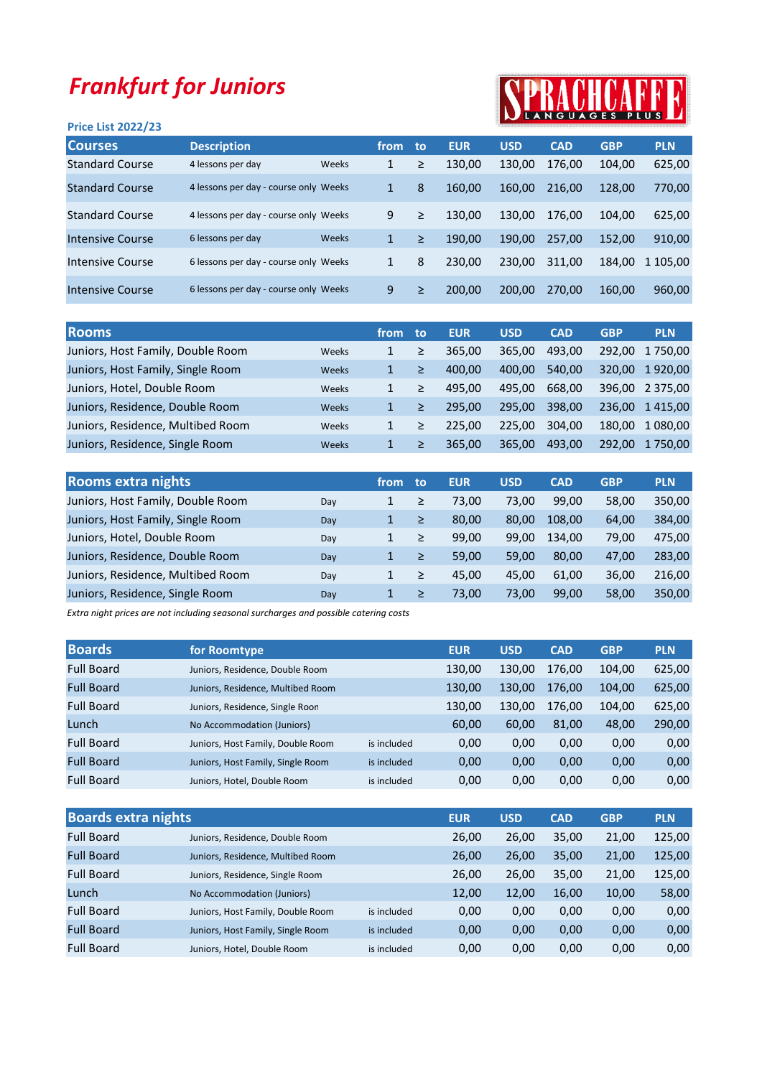## Frankfurt for Juniors

## Price List 2022/23



| <b>Courses</b>         | <b>Description</b>                    |       | from | to: | <b>EUR</b> | <b>USD</b> | <b>CAD</b> | <b>GBP</b> | <b>PLN</b> |
|------------------------|---------------------------------------|-------|------|-----|------------|------------|------------|------------|------------|
| <b>Standard Course</b> | 4 lessons per day                     | Weeks | 1    | ≥   | 130,00     | 130,00     | 176,00     | 104,00     | 625,00     |
| <b>Standard Course</b> | 4 lessons per day - course only Weeks |       | 1    | 8   | 160.00     | 160,00     | 216.00     | 128,00     | 770,00     |
| <b>Standard Course</b> | 4 lessons per day - course only Weeks |       | 9    | ≥   | 130.00     | 130.00     | 176.00     | 104.00     | 625,00     |
| Intensive Course       | 6 lessons per day                     | Weeks | 1    | ≥   | 190.00     | 190.00     | 257.00     | 152.00     | 910,00     |
| Intensive Course       | 6 lessons per day - course only Weeks |       | 1    | 8   | 230.00     | 230.00     | 311,00     | 184,00     | 1 105,00   |
| Intensive Course       | 6 lessons per day - course only Weeks |       | 9    | ≥   | 200.00     | 200,00     | 270,00     | 160,00     | 960,00     |

| <b>Rooms</b>                               | from | to: | <b>EUR</b> | <b>USD</b> | <b>CAD</b> | <b>GBP</b> | <b>PLN</b>      |
|--------------------------------------------|------|-----|------------|------------|------------|------------|-----------------|
| Juniors, Host Family, Double Room<br>Weeks |      | ≥   | 365.00     | 365.00     | 493.00     | 292.00     | 1 750.00        |
| Juniors, Host Family, Single Room<br>Weeks | 1.   | ≥   | 400.00     | 400.00     | 540,00     | 320.00     | 1920,00         |
| Juniors, Hotel, Double Room<br>Weeks       |      | ≥   | 495.00     | 495.00     | 668.00     |            | 396,00 2 375,00 |
| Juniors, Residence, Double Room<br>Weeks   |      | ≥   | 295.00     | 295.00     | 398.00     | 236.00     | 1415,00         |
| Juniors, Residence, Multibed Room<br>Weeks |      | ≥   | 225.00     | 225.00     | 304.00     | 180.00     | 1 080,00        |
| Juniors, Residence, Single Room<br>Weeks   |      | ≥   | 365.00     | 365,00     | 493,00     | 292.00     | 1 750.00        |

| <b>Rooms extra nights</b>         |     | from | to | <b>EUR</b> | <b>USD</b> | <b>CAD</b> | <b>GBP</b> | <b>PLN</b> |
|-----------------------------------|-----|------|----|------------|------------|------------|------------|------------|
| Juniors, Host Family, Double Room | Day | 1    | ≥  | 73.00      | 73,00      | 99,00      | 58,00      | 350,00     |
| Juniors, Host Family, Single Room | Day |      | ≥  | 80.00      | 80,00      | 108.00     | 64.00      | 384,00     |
| Juniors, Hotel, Double Room       | Day |      | ≥  | 99.00      | 99.00      | 134.00     | 79,00      | 475,00     |
| Juniors, Residence, Double Room   | Day |      | ≥  | 59.00      | 59,00      | 80,00      | 47,00      | 283,00     |
| Juniors, Residence, Multibed Room | Day |      | ≥  | 45.00      | 45,00      | 61,00      | 36,00      | 216,00     |
| Juniors, Residence, Single Room   | Day | 1    | ≥  | 73.00      | 73,00      | 99.00      | 58,00      | 350,00     |

Extra night prices are not including seasonal surcharges and possible catering costs

| <b>Boards</b>     | for Roomtype                      |             | <b>EUR</b> | <b>USD</b> | <b>CAD</b> | <b>GBP</b> | <b>PLN</b> |
|-------------------|-----------------------------------|-------------|------------|------------|------------|------------|------------|
| <b>Full Board</b> | Juniors, Residence, Double Room   |             | 130,00     | 130,00     | 176,00     | 104,00     | 625,00     |
| <b>Full Board</b> | Juniors, Residence, Multibed Room |             | 130.00     | 130.00     | 176.00     | 104.00     | 625,00     |
| <b>Full Board</b> | Juniors, Residence, Single Roon   |             | 130,00     | 130,00     | 176.00     | 104,00     | 625,00     |
| Lunch             | No Accommodation (Juniors)        |             | 60,00      | 60,00      | 81,00      | 48,00      | 290,00     |
| <b>Full Board</b> | Juniors, Host Family, Double Room | is included | 0,00       | 0,00       | 0,00       | 0,00       | 0,00       |
| <b>Full Board</b> | Juniors, Host Family, Single Room | is included | 0,00       | 0,00       | 0,00       | 0,00       | 0,00       |
| <b>Full Board</b> | Juniors, Hotel, Double Room       | is included | 0,00       | 0,00       | 0,00       | 0,00       | 0,00       |

| <b>Boards extra nights</b> |                                   |             | <b>EUR</b> | <b>USD</b> | <b>CAD</b> | <b>GBP</b> | <b>PLN</b> |
|----------------------------|-----------------------------------|-------------|------------|------------|------------|------------|------------|
| <b>Full Board</b>          | Juniors, Residence, Double Room   |             | 26,00      | 26,00      | 35,00      | 21,00      | 125,00     |
| <b>Full Board</b>          | Juniors, Residence, Multibed Room |             | 26,00      | 26,00      | 35,00      | 21,00      | 125,00     |
| <b>Full Board</b>          | Juniors, Residence, Single Room   |             | 26,00      | 26,00      | 35,00      | 21,00      | 125,00     |
| Lunch                      | No Accommodation (Juniors)        |             | 12,00      | 12,00      | 16,00      | 10,00      | 58,00      |
| <b>Full Board</b>          | Juniors, Host Family, Double Room | is included | 0,00       | 0,00       | 0,00       | 0,00       | 0,00       |
| <b>Full Board</b>          | Juniors, Host Family, Single Room | is included | 0,00       | 0,00       | 0,00       | 0,00       | 0,00       |
| <b>Full Board</b>          | Juniors, Hotel, Double Room       | is included | 0,00       | 0,00       | 0,00       | 0,00       | 0,00       |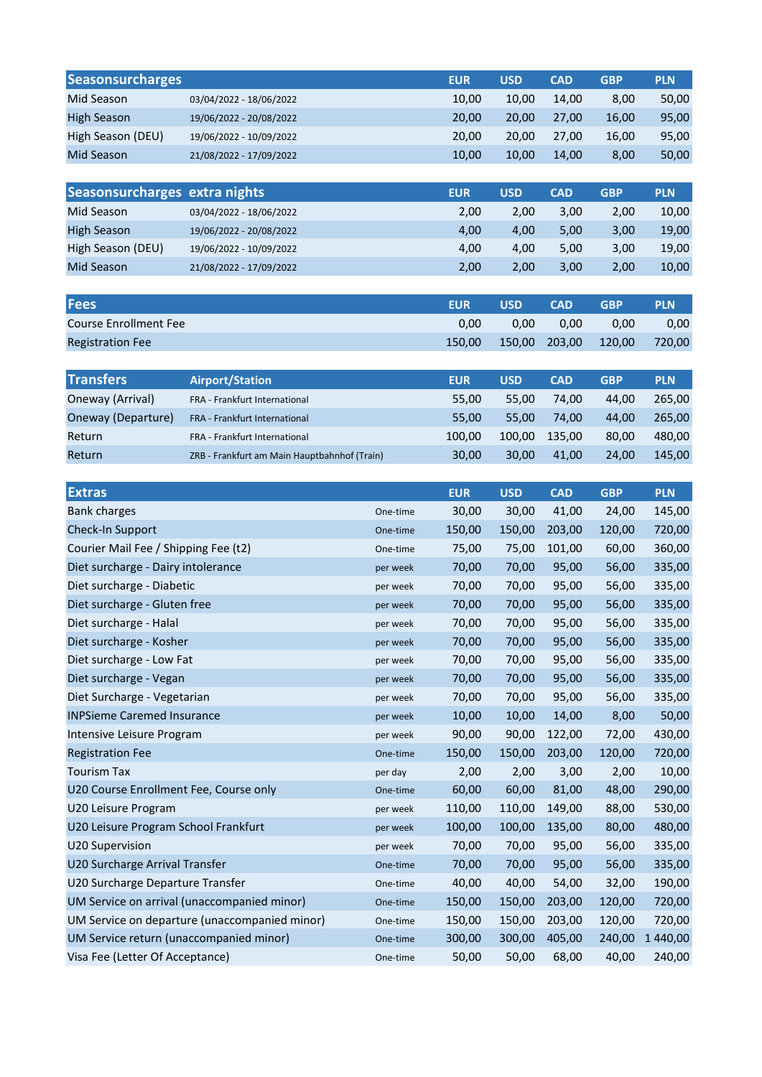| <b>Seasonsurcharges</b>                        |                                               |          | <b>EUR</b> | <b>USD</b> | <b>CAD</b> | <b>GBP</b>          | <b>PLN</b> |
|------------------------------------------------|-----------------------------------------------|----------|------------|------------|------------|---------------------|------------|
| Mid Season                                     | 03/04/2022 - 18/06/2022                       |          | 10,00      | 10,00      | 14,00      | 8,00                | 50,00      |
| <b>High Season</b>                             | 19/06/2022 - 20/08/2022                       |          | 20,00      | 20,00      | 27,00      | 16,00               | 95,00      |
| High Season (DEU)                              | 19/06/2022 - 10/09/2022                       |          | 20,00      | 20,00      | 27,00      | 16,00               | 95,00      |
| Mid Season                                     | 21/08/2022 - 17/09/2022                       |          | 10,00      | 10,00      | 14,00      | 8,00                | 50,00      |
|                                                |                                               |          |            |            |            |                     |            |
| Seasonsurcharges extra nights                  |                                               |          | <b>EUR</b> | <b>USD</b> | <b>CAD</b> | <b>GBP</b>          | <b>PLN</b> |
| Mid Season                                     | 03/04/2022 - 18/06/2022                       |          | 2,00       | 2,00       | 3,00       | 2,00                | 10,00      |
| <b>High Season</b>                             | 19/06/2022 - 20/08/2022                       |          | 4,00       | 4,00       | 5,00       | 3,00                | 19,00      |
| High Season (DEU)                              | 19/06/2022 - 10/09/2022                       |          | 4,00       | 4,00       | 5,00       | 3,00                | 19,00      |
| Mid Season                                     | 21/08/2022 - 17/09/2022                       |          | 2,00       | 2,00       | 3,00       | 2,00                | 10,00      |
|                                                |                                               |          |            |            |            |                     |            |
| <b>Fees</b>                                    |                                               |          | <b>EUR</b> | <b>USD</b> | <b>CAD</b> | <b>GBP</b>          | <b>PLN</b> |
| <b>Course Enrollment Fee</b>                   |                                               |          | 0,00       | 0,00       | 0,00       | 0,00                | 0,00       |
| <b>Registration Fee</b>                        |                                               |          | 150,00     | 150,00     | 203,00     | 120,00              | 720,00     |
|                                                |                                               |          |            |            |            |                     |            |
| <b>Transfers</b>                               | <b>Airport/Station</b>                        |          | <b>EUR</b> | <b>USD</b> | <b>CAD</b> | <b>GBP</b>          | <b>PLN</b> |
| Oneway (Arrival)                               | FRA - Frankfurt International                 |          | 55,00      | 55,00      | 74,00      | 44,00               | 265,00     |
| Oneway (Departure)                             | FRA - Frankfurt International                 |          | 55,00      | 55,00      | 74,00      | 44,00               | 265,00     |
| Return                                         | FRA - Frankfurt International                 |          | 100,00     | 100,00     | 135,00     | 80,00               | 480,00     |
| Return                                         | ZRB - Frankfurt am Main Hauptbahnhof (Train)  |          | 30,00      | 30,00      | 41,00      | 24,00               | 145,00     |
| <b>Extras</b>                                  |                                               |          | <b>EUR</b> | <b>USD</b> | <b>CAD</b> |                     | <b>PLN</b> |
| <b>Bank charges</b>                            |                                               | One-time | 30,00      | 30,00      | 41,00      | <b>GBP</b><br>24,00 | 145,00     |
| Check-In Support                               |                                               | One-time | 150,00     | 150,00     | 203,00     | 120,00              | 720,00     |
| Courier Mail Fee / Shipping Fee (t2)           |                                               | One-time | 75,00      | 75,00      | 101,00     | 60,00               | 360,00     |
| Diet surcharge - Dairy intolerance<br>per week |                                               |          | 70,00      | 70,00      | 95,00      | 56,00               | 335,00     |
| Diet surcharge - Diabetic                      |                                               | per week | 70,00      | 70,00      | 95,00      | 56,00               | 335,00     |
| Diet surcharge - Gluten free                   |                                               | per week | 70,00      | 70,00      | 95,00      | 56,00               | 335,00     |
| Diet surcharge - Halal                         |                                               | per week | 70,00      | 70,00      | 95,00      | 56,00               | 335,00     |
| Diet surcharge - Kosher                        |                                               | per week | 70,00      | 70,00      | 95,00      | 56,00               | 335,00     |
| Diet surcharge - Low Fat                       |                                               | per week | 70,00      | 70,00      | 95,00      | 56,00               | 335,00     |
| Diet surcharge - Vegan                         |                                               | per week | 70,00      | 70,00      | 95,00      | 56,00               | 335,00     |
| Diet Surcharge - Vegetarian                    |                                               | per week | 70,00      | 70,00      | 95,00      | 56,00               | 335,00     |
| <b>INPSieme Caremed Insurance</b>              |                                               | per week | 10,00      | 10,00      | 14,00      | 8,00                | 50,00      |
| Intensive Leisure Program                      |                                               | per week | 90,00      | 90,00      | 122,00     | 72,00               | 430,00     |
| <b>Registration Fee</b>                        |                                               | One-time | 150,00     | 150,00     | 203,00     | 120,00              | 720,00     |
| <b>Tourism Tax</b>                             |                                               | per day  | 2,00       | 2,00       | 3,00       | 2,00                | 10,00      |
| U20 Course Enrollment Fee, Course only         |                                               | One-time | 60,00      | 60,00      | 81,00      | 48,00               | 290,00     |
| U20 Leisure Program                            |                                               | per week | 110,00     | 110,00     | 149,00     | 88,00               | 530,00     |
| U20 Leisure Program School Frankfurt           |                                               | per week | 100,00     | 100,00     | 135,00     | 80,00               | 480,00     |
| U20 Supervision                                |                                               | per week | 70,00      | 70,00      | 95,00      | 56,00               | 335,00     |
| U20 Surcharge Arrival Transfer                 |                                               | One-time | 70,00      | 70,00      | 95,00      | 56,00               | 335,00     |
| U20 Surcharge Departure Transfer               |                                               | One-time | 40,00      | 40,00      | 54,00      | 32,00               | 190,00     |
|                                                | UM Service on arrival (unaccompanied minor)   | One-time | 150,00     | 150,00     | 203,00     | 120,00              | 720,00     |
|                                                | UM Service on departure (unaccompanied minor) | One-time | 150,00     | 150,00     | 203,00     | 120,00              | 720,00     |
| UM Service return (unaccompanied minor)        |                                               | One-time | 300,00     | 300,00     | 405,00     | 240,00              | 1 440,00   |
| Visa Fee (Letter Of Acceptance)                |                                               | One-time | 50,00      | 50,00      | 68,00      | 40,00               | 240,00     |